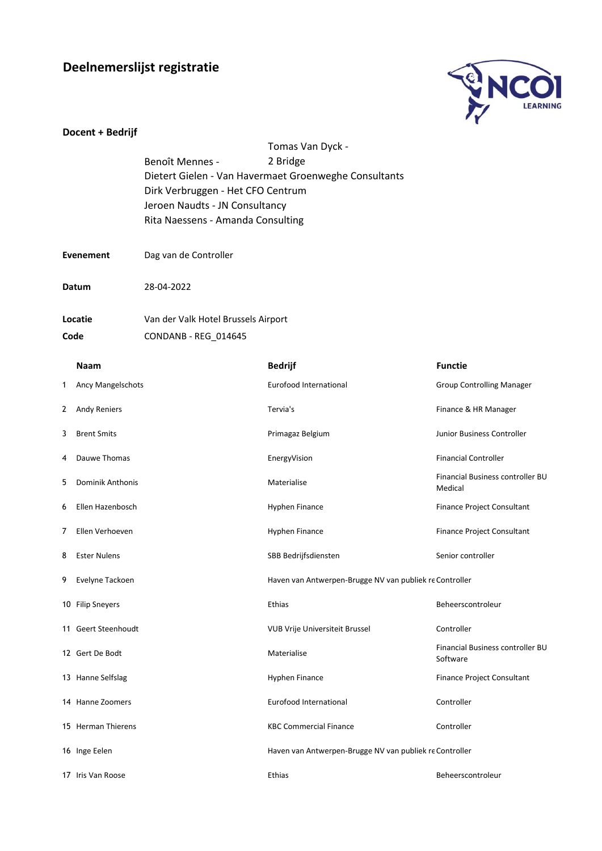## **Deelnemerslijst registratie**



|                  | Docent + Bedrijf         |                                                                     |                                                                   |                                              |  |  |
|------------------|--------------------------|---------------------------------------------------------------------|-------------------------------------------------------------------|----------------------------------------------|--|--|
|                  |                          | Benoît Mennes -                                                     | Tomas Van Dyck -                                                  |                                              |  |  |
|                  |                          |                                                                     | 2 Bridge<br>Dietert Gielen - Van Havermaet Groenweghe Consultants |                                              |  |  |
|                  |                          | Dirk Verbruggen - Het CFO Centrum                                   |                                                                   |                                              |  |  |
|                  |                          |                                                                     |                                                                   |                                              |  |  |
|                  |                          | Jeroen Naudts - JN Consultancy<br>Rita Naessens - Amanda Consulting |                                                                   |                                              |  |  |
|                  |                          |                                                                     |                                                                   |                                              |  |  |
| <b>Evenement</b> |                          | Dag van de Controller                                               |                                                                   |                                              |  |  |
| Datum            |                          | 28-04-2022                                                          |                                                                   |                                              |  |  |
| Locatie          |                          | Van der Valk Hotel Brussels Airport                                 |                                                                   |                                              |  |  |
| Code             |                          | CONDANB - REG_014645                                                |                                                                   |                                              |  |  |
|                  | <b>Naam</b>              |                                                                     | <b>Bedrijf</b>                                                    | <b>Functie</b>                               |  |  |
| 1                | <b>Ancy Mangelschots</b> |                                                                     | Eurofood International                                            | <b>Group Controlling Manager</b>             |  |  |
|                  |                          |                                                                     |                                                                   |                                              |  |  |
| 2                | <b>Andy Reniers</b>      |                                                                     | Tervia's                                                          | Finance & HR Manager                         |  |  |
| 3                | <b>Brent Smits</b>       |                                                                     | Primagaz Belgium                                                  | Junior Business Controller                   |  |  |
| 4                | Dauwe Thomas             |                                                                     | EnergyVision                                                      | <b>Financial Controller</b>                  |  |  |
| 5                | Dominik Anthonis         |                                                                     | Materialise                                                       | Financial Business controller BU<br>Medical  |  |  |
| 6                | Ellen Hazenbosch         |                                                                     | Hyphen Finance                                                    | Finance Project Consultant                   |  |  |
| 7                | Ellen Verhoeven          |                                                                     | Hyphen Finance                                                    | Finance Project Consultant                   |  |  |
| 8                | Ester Nulens             |                                                                     | SBB Bedrijfsdiensten                                              | Senior controller                            |  |  |
|                  | 9 Evelyne Tackoen        |                                                                     | Haven van Antwerpen-Brugge NV van publiek re Controller           |                                              |  |  |
|                  | 10 Filip Sneyers         |                                                                     | Ethias                                                            | Beheerscontroleur                            |  |  |
|                  | 11 Geert Steenhoudt      |                                                                     | VUB Vrije Universiteit Brussel                                    | Controller                                   |  |  |
|                  | 12 Gert De Bodt          |                                                                     | Materialise                                                       | Financial Business controller BU<br>Software |  |  |
|                  | 13 Hanne Selfslag        |                                                                     | Hyphen Finance                                                    | Finance Project Consultant                   |  |  |
|                  | 14 Hanne Zoomers         |                                                                     | Eurofood International                                            | Controller                                   |  |  |
|                  | 15 Herman Thierens       |                                                                     | <b>KBC Commercial Finance</b>                                     | Controller                                   |  |  |
|                  | 16 Inge Eelen            |                                                                     | Haven van Antwerpen-Brugge NV van publiek re Controller           |                                              |  |  |
|                  | 17 Iris Van Roose        |                                                                     | Ethias                                                            | Beheerscontroleur                            |  |  |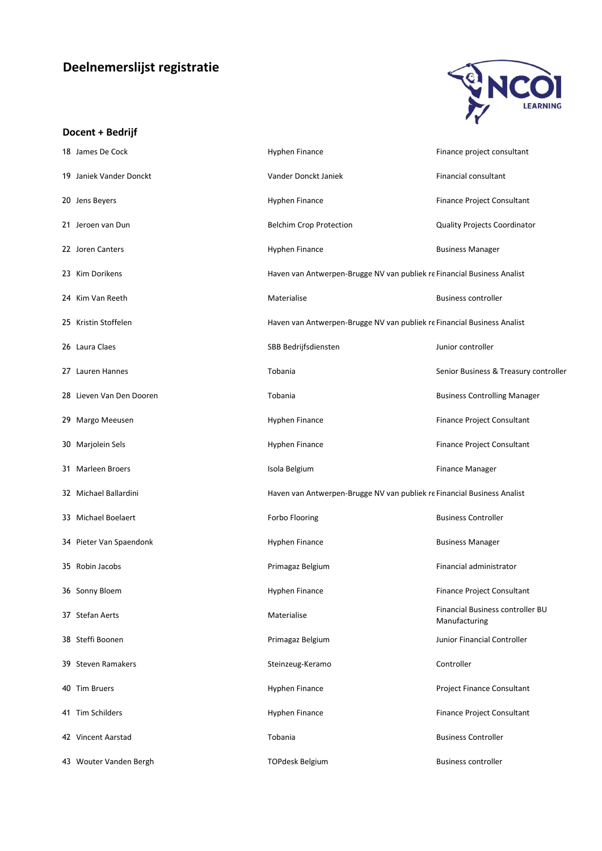## **Deelnemerslijst registratie**



## **Docent + Bedrijf**

| 18 James De Cock         | Hyphen Finance                                                          | Finance project consultant                        |
|--------------------------|-------------------------------------------------------------------------|---------------------------------------------------|
| 19 Janiek Vander Donckt  | Vander Donckt Janiek                                                    | Financial consultant                              |
| 20 Jens Beyers           | Hyphen Finance                                                          | Finance Project Consultant                        |
| 21 Jeroen van Dun        | <b>Belchim Crop Protection</b>                                          | Quality Projects Coordinator                      |
| 22 Joren Canters         | Hyphen Finance                                                          | <b>Business Manager</b>                           |
| 23 Kim Dorikens          | Haven van Antwerpen-Brugge NV van publiek re Financial Business Analist |                                                   |
| 24 Kim Van Reeth         | Materialise                                                             | <b>Business controller</b>                        |
| 25 Kristin Stoffelen     | Haven van Antwerpen-Brugge NV van publiek re Financial Business Analist |                                                   |
| 26 Laura Claes           | SBB Bedrijfsdiensten                                                    | Junior controller                                 |
| 27 Lauren Hannes         | Tobania                                                                 | Senior Business & Treasury controller             |
| 28 Lieven Van Den Dooren | Tobania                                                                 | <b>Business Controlling Manager</b>               |
| 29 Margo Meeusen         | Hyphen Finance                                                          | Finance Project Consultant                        |
| 30 Marjolein Sels        | Hyphen Finance                                                          | Finance Project Consultant                        |
| 31 Marleen Broers        | Isola Belgium                                                           | <b>Finance Manager</b>                            |
| 32 Michael Ballardini    | Haven van Antwerpen-Brugge NV van publiek re Financial Business Analist |                                                   |
| 33 Michael Boelaert      | Forbo Flooring                                                          | <b>Business Controller</b>                        |
| 34 Pieter Van Spaendonk  | Hyphen Finance                                                          | <b>Business Manager</b>                           |
| 35 Robin Jacobs          | Primagaz Belgium                                                        | Financial administrator                           |
| 36 Sonny Bloem           | Hyphen Finance                                                          | Finance Project Consultant                        |
| 37 Stefan Aerts          | Materialise                                                             | Financial Business controller BU<br>Manufacturing |
| 38 Steffi Boonen         | Primagaz Belgium                                                        | Junior Financial Controller                       |
| 39 Steven Ramakers       | Steinzeug-Keramo                                                        | Controller                                        |
| 40 Tim Bruers            | Hyphen Finance                                                          | <b>Project Finance Consultant</b>                 |
| 41 Tim Schilders         | Hyphen Finance                                                          | Finance Project Consultant                        |
| 42 Vincent Aarstad       | Tobania                                                                 | <b>Business Controller</b>                        |
| 43 Wouter Vanden Bergh   | <b>TOPdesk Belgium</b>                                                  | <b>Business controller</b>                        |